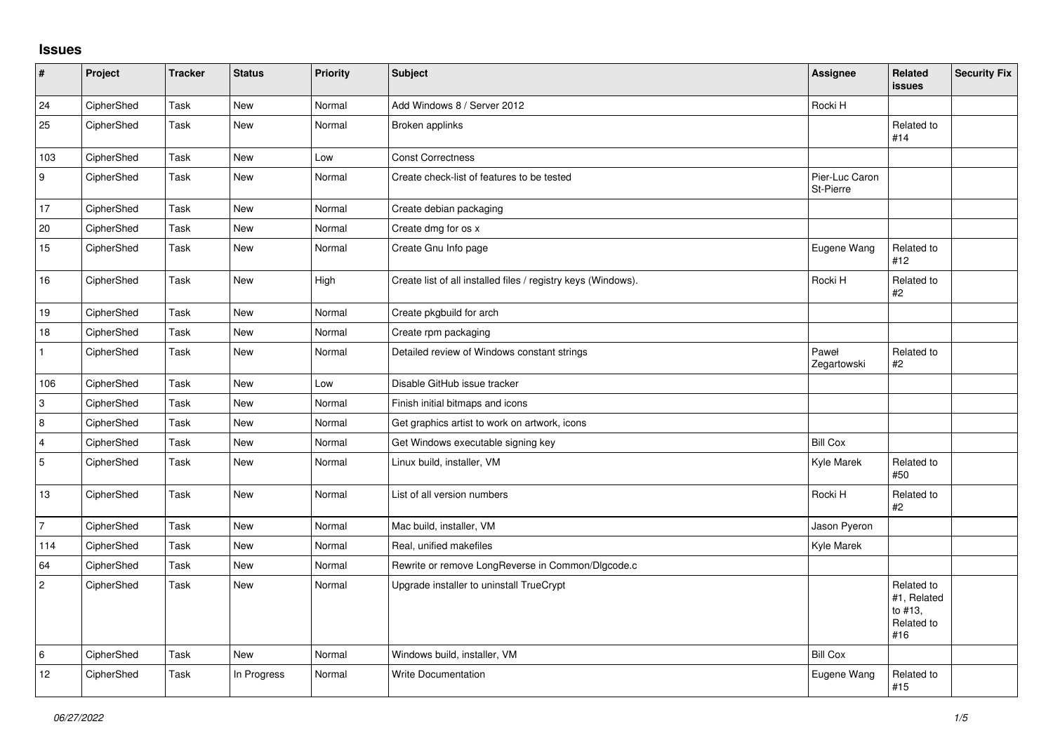## **Issues**

| $\sharp$       | Project    | <b>Tracker</b> | <b>Status</b> | Priority | Subject                                                       | Assignee                    | <b>Related</b><br><b>issues</b>                           | <b>Security Fix</b> |
|----------------|------------|----------------|---------------|----------|---------------------------------------------------------------|-----------------------------|-----------------------------------------------------------|---------------------|
| 24             | CipherShed | Task           | <b>New</b>    | Normal   | Add Windows 8 / Server 2012                                   | Rocki H                     |                                                           |                     |
| 25             | CipherShed | Task           | New           | Normal   | Broken applinks                                               |                             | Related to<br>#14                                         |                     |
| 103            | CipherShed | Task           | New           | Low      | <b>Const Correctness</b>                                      |                             |                                                           |                     |
| 9              | CipherShed | Task           | <b>New</b>    | Normal   | Create check-list of features to be tested                    | Pier-Luc Caron<br>St-Pierre |                                                           |                     |
| 17             | CipherShed | Task           | New           | Normal   | Create debian packaging                                       |                             |                                                           |                     |
| 20             | CipherShed | Task           | New           | Normal   | Create dmg for os x                                           |                             |                                                           |                     |
| 15             | CipherShed | Task           | New           | Normal   | Create Gnu Info page                                          | Eugene Wang                 | Related to<br>#12                                         |                     |
| $16\,$         | CipherShed | Task           | New           | High     | Create list of all installed files / registry keys (Windows). | Rocki H                     | Related to<br>#2                                          |                     |
| 19             | CipherShed | Task           | <b>New</b>    | Normal   | Create pkgbuild for arch                                      |                             |                                                           |                     |
| $18$           | CipherShed | Task           | New           | Normal   | Create rpm packaging                                          |                             |                                                           |                     |
| $\mathbf{1}$   | CipherShed | Task           | New           | Normal   | Detailed review of Windows constant strings                   | Paweł<br>Zegartowski        | Related to<br>#2                                          |                     |
| 106            | CipherShed | Task           | <b>New</b>    | Low      | Disable GitHub issue tracker                                  |                             |                                                           |                     |
| $\,3$          | CipherShed | Task           | New           | Normal   | Finish initial bitmaps and icons                              |                             |                                                           |                     |
| 8              | CipherShed | Task           | New           | Normal   | Get graphics artist to work on artwork, icons                 |                             |                                                           |                     |
| $\overline{4}$ | CipherShed | Task           | <b>New</b>    | Normal   | Get Windows executable signing key                            | <b>Bill Cox</b>             |                                                           |                     |
| $\sqrt{5}$     | CipherShed | Task           | New           | Normal   | Linux build, installer, VM                                    | Kyle Marek                  | Related to<br>#50                                         |                     |
| 13             | CipherShed | Task           | <b>New</b>    | Normal   | List of all version numbers                                   | Rocki H                     | Related to<br>#2                                          |                     |
| $\overline{7}$ | CipherShed | Task           | <b>New</b>    | Normal   | Mac build, installer, VM                                      | Jason Pyeron                |                                                           |                     |
| 114            | CipherShed | Task           | New           | Normal   | Real, unified makefiles                                       | Kyle Marek                  |                                                           |                     |
| 64             | CipherShed | Task           | <b>New</b>    | Normal   | Rewrite or remove LongReverse in Common/Dlgcode.c             |                             |                                                           |                     |
| $\overline{c}$ | CipherShed | Task           | <b>New</b>    | Normal   | Upgrade installer to uninstall TrueCrypt                      |                             | Related to<br>#1, Related<br>to #13,<br>Related to<br>#16 |                     |
| $\,6\,$        | CipherShed | Task           | <b>New</b>    | Normal   | Windows build, installer, VM                                  | <b>Bill Cox</b>             |                                                           |                     |
| 12             | CipherShed | Task           | In Progress   | Normal   | <b>Write Documentation</b>                                    | Eugene Wang                 | Related to<br>#15                                         |                     |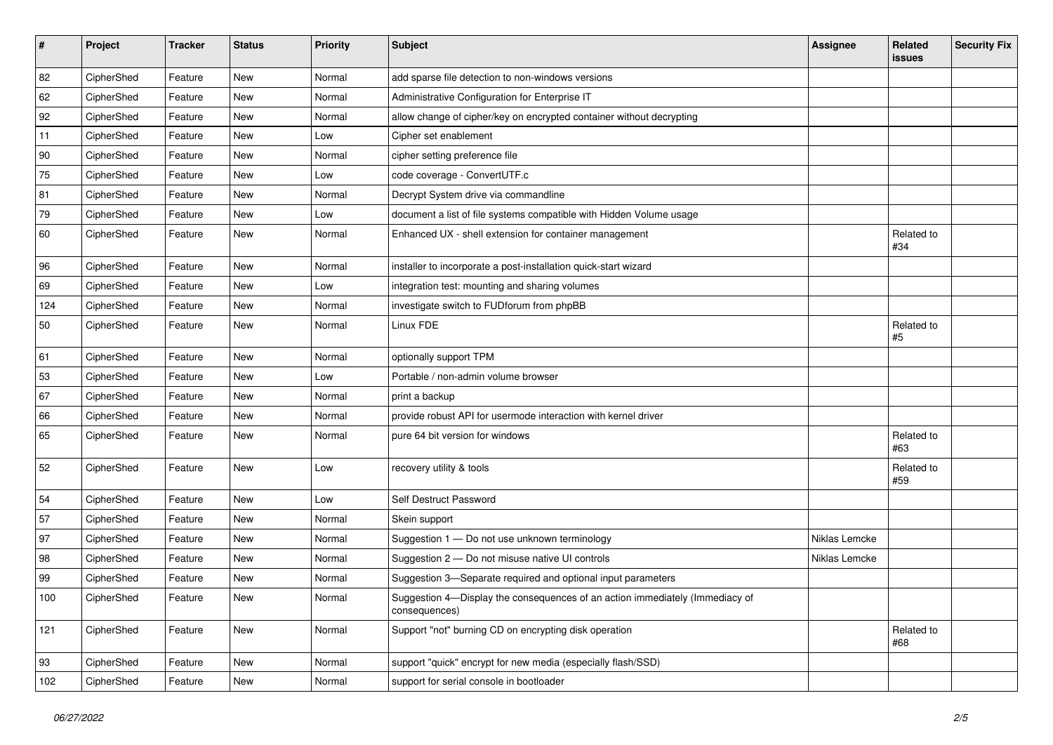| #   | Project    | <b>Tracker</b> | <b>Status</b> | Priority | <b>Subject</b>                                                                                | <b>Assignee</b> | Related<br><b>issues</b> | <b>Security Fix</b> |
|-----|------------|----------------|---------------|----------|-----------------------------------------------------------------------------------------------|-----------------|--------------------------|---------------------|
| 82  | CipherShed | Feature        | New           | Normal   | add sparse file detection to non-windows versions                                             |                 |                          |                     |
| 62  | CipherShed | Feature        | New           | Normal   | Administrative Configuration for Enterprise IT                                                |                 |                          |                     |
| 92  | CipherShed | Feature        | New           | Normal   | allow change of cipher/key on encrypted container without decrypting                          |                 |                          |                     |
| 11  | CipherShed | Feature        | New           | Low      | Cipher set enablement                                                                         |                 |                          |                     |
| 90  | CipherShed | Feature        | New           | Normal   | cipher setting preference file                                                                |                 |                          |                     |
| 75  | CipherShed | Feature        | New           | Low      | code coverage - ConvertUTF.c                                                                  |                 |                          |                     |
| 81  | CipherShed | Feature        | New           | Normal   | Decrypt System drive via commandline                                                          |                 |                          |                     |
| 79  | CipherShed | Feature        | New           | Low      | document a list of file systems compatible with Hidden Volume usage                           |                 |                          |                     |
| 60  | CipherShed | Feature        | New           | Normal   | Enhanced UX - shell extension for container management                                        |                 | Related to<br>#34        |                     |
| 96  | CipherShed | Feature        | New           | Normal   | installer to incorporate a post-installation quick-start wizard                               |                 |                          |                     |
| 69  | CipherShed | Feature        | New           | Low      | integration test: mounting and sharing volumes                                                |                 |                          |                     |
| 124 | CipherShed | Feature        | New           | Normal   | investigate switch to FUDforum from phpBB                                                     |                 |                          |                     |
| 50  | CipherShed | Feature        | New           | Normal   | Linux FDE                                                                                     |                 | Related to<br>#5         |                     |
| 61  | CipherShed | Feature        | New           | Normal   | optionally support TPM                                                                        |                 |                          |                     |
| 53  | CipherShed | Feature        | New           | Low      | Portable / non-admin volume browser                                                           |                 |                          |                     |
| 67  | CipherShed | Feature        | New           | Normal   | print a backup                                                                                |                 |                          |                     |
| 66  | CipherShed | Feature        | New           | Normal   | provide robust API for usermode interaction with kernel driver                                |                 |                          |                     |
| 65  | CipherShed | Feature        | New           | Normal   | pure 64 bit version for windows                                                               |                 | Related to<br>#63        |                     |
| 52  | CipherShed | Feature        | New           | Low      | recovery utility & tools                                                                      |                 | Related to<br>#59        |                     |
| 54  | CipherShed | Feature        | New           | Low      | Self Destruct Password                                                                        |                 |                          |                     |
| 57  | CipherShed | Feature        | New           | Normal   | Skein support                                                                                 |                 |                          |                     |
| 97  | CipherShed | Feature        | New           | Normal   | Suggestion 1 - Do not use unknown terminology                                                 | Niklas Lemcke   |                          |                     |
| 98  | CipherShed | Feature        | New           | Normal   | Suggestion 2 - Do not misuse native UI controls                                               | Niklas Lemcke   |                          |                     |
| 99  | CipherShed | Feature        | New           | Normal   | Suggestion 3-Separate required and optional input parameters                                  |                 |                          |                     |
| 100 | CipherShed | Feature        | New           | Normal   | Suggestion 4-Display the consequences of an action immediately (Immediacy of<br>consequences) |                 |                          |                     |
| 121 | CipherShed | Feature        | New           | Normal   | Support "not" burning CD on encrypting disk operation                                         |                 | Related to<br>#68        |                     |
| 93  | CipherShed | Feature        | New           | Normal   | support "quick" encrypt for new media (especially flash/SSD)                                  |                 |                          |                     |
| 102 | CipherShed | Feature        | New           | Normal   | support for serial console in bootloader                                                      |                 |                          |                     |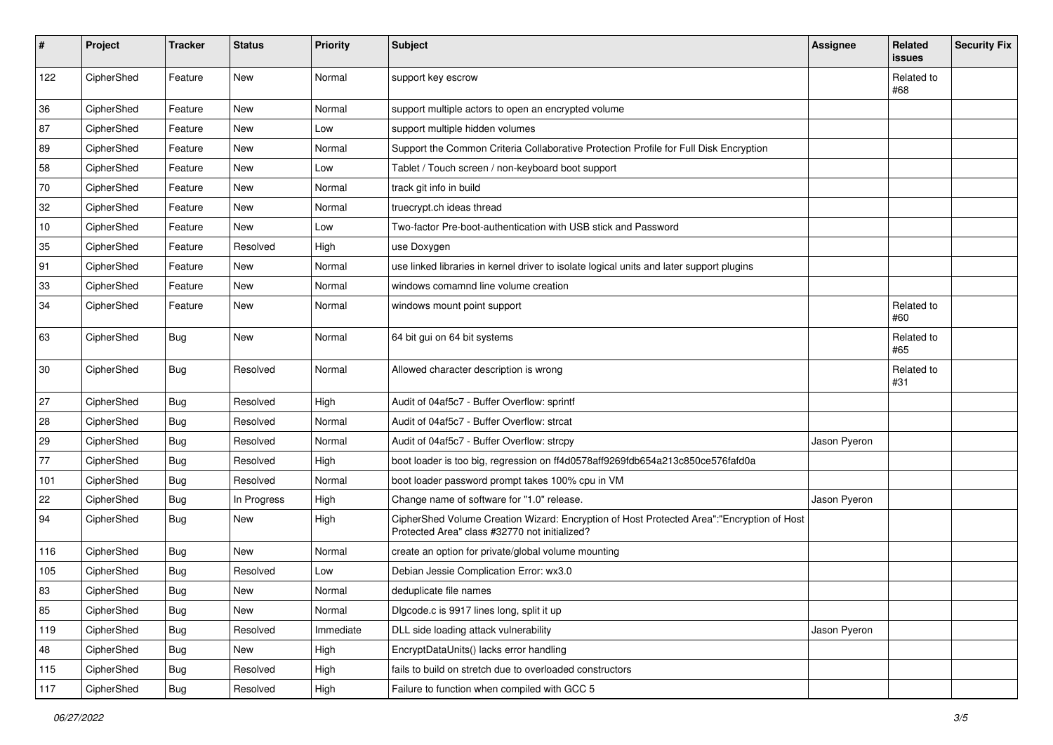| #      | Project    | <b>Tracker</b> | <b>Status</b> | Priority  | <b>Subject</b>                                                                                                                             | <b>Assignee</b> | Related<br><b>issues</b> | <b>Security Fix</b> |
|--------|------------|----------------|---------------|-----------|--------------------------------------------------------------------------------------------------------------------------------------------|-----------------|--------------------------|---------------------|
| 122    | CipherShed | Feature        | <b>New</b>    | Normal    | support key escrow                                                                                                                         |                 | Related to<br>#68        |                     |
| 36     | CipherShed | Feature        | New           | Normal    | support multiple actors to open an encrypted volume                                                                                        |                 |                          |                     |
| 87     | CipherShed | Feature        | <b>New</b>    | Low       | support multiple hidden volumes                                                                                                            |                 |                          |                     |
| 89     | CipherShed | Feature        | New           | Normal    | Support the Common Criteria Collaborative Protection Profile for Full Disk Encryption                                                      |                 |                          |                     |
| 58     | CipherShed | Feature        | New           | Low       | Tablet / Touch screen / non-keyboard boot support                                                                                          |                 |                          |                     |
| 70     | CipherShed | Feature        | New           | Normal    | track git info in build                                                                                                                    |                 |                          |                     |
| 32     | CipherShed | Feature        | New           | Normal    | truecrypt.ch ideas thread                                                                                                                  |                 |                          |                     |
| $10\,$ | CipherShed | Feature        | <b>New</b>    | Low       | Two-factor Pre-boot-authentication with USB stick and Password                                                                             |                 |                          |                     |
| 35     | CipherShed | Feature        | Resolved      | High      | use Doxygen                                                                                                                                |                 |                          |                     |
| 91     | CipherShed | Feature        | New           | Normal    | use linked libraries in kernel driver to isolate logical units and later support plugins                                                   |                 |                          |                     |
| 33     | CipherShed | Feature        | New           | Normal    | windows comamnd line volume creation                                                                                                       |                 |                          |                     |
| 34     | CipherShed | Feature        | New           | Normal    | windows mount point support                                                                                                                |                 | Related to<br>#60        |                     |
| 63     | CipherShed | <b>Bug</b>     | <b>New</b>    | Normal    | 64 bit gui on 64 bit systems                                                                                                               |                 | Related to<br>#65        |                     |
| 30     | CipherShed | <b>Bug</b>     | Resolved      | Normal    | Allowed character description is wrong                                                                                                     |                 | Related to<br>#31        |                     |
| 27     | CipherShed | <b>Bug</b>     | Resolved      | High      | Audit of 04af5c7 - Buffer Overflow: sprintf                                                                                                |                 |                          |                     |
| 28     | CipherShed | <b>Bug</b>     | Resolved      | Normal    | Audit of 04af5c7 - Buffer Overflow: strcat                                                                                                 |                 |                          |                     |
| 29     | CipherShed | <b>Bug</b>     | Resolved      | Normal    | Audit of 04af5c7 - Buffer Overflow: strcpy                                                                                                 | Jason Pyeron    |                          |                     |
| 77     | CipherShed | <b>Bug</b>     | Resolved      | High      | boot loader is too big, regression on ff4d0578aff9269fdb654a213c850ce576fafd0a                                                             |                 |                          |                     |
| 101    | CipherShed | <b>Bug</b>     | Resolved      | Normal    | boot loader password prompt takes 100% cpu in VM                                                                                           |                 |                          |                     |
| 22     | CipherShed | <b>Bug</b>     | In Progress   | High      | Change name of software for "1.0" release.                                                                                                 | Jason Pyeron    |                          |                     |
| 94     | CipherShed | <b>Bug</b>     | <b>New</b>    | High      | CipherShed Volume Creation Wizard: Encryption of Host Protected Area":"Encryption of Host<br>Protected Area" class #32770 not initialized? |                 |                          |                     |
| 116    | CipherShed | <b>Bug</b>     | <b>New</b>    | Normal    | create an option for private/global volume mounting                                                                                        |                 |                          |                     |
| 105    | CipherShed | <b>Bug</b>     | Resolved      | Low       | Debian Jessie Complication Error: wx3.0                                                                                                    |                 |                          |                     |
| 83     | CipherShed | <b>Bug</b>     | New           | Normal    | deduplicate file names                                                                                                                     |                 |                          |                     |
| 85     | CipherShed | <b>Bug</b>     | New           | Normal    | Digcode.c is 9917 lines long, split it up                                                                                                  |                 |                          |                     |
| 119    | CipherShed | <b>Bug</b>     | Resolved      | Immediate | DLL side loading attack vulnerability                                                                                                      | Jason Pyeron    |                          |                     |
| 48     | CipherShed | <b>Bug</b>     | New           | High      | EncryptDataUnits() lacks error handling                                                                                                    |                 |                          |                     |
| 115    | CipherShed | <b>Bug</b>     | Resolved      | High      | fails to build on stretch due to overloaded constructors                                                                                   |                 |                          |                     |
| 117    | CipherShed | Bug            | Resolved      | High      | Failure to function when compiled with GCC 5                                                                                               |                 |                          |                     |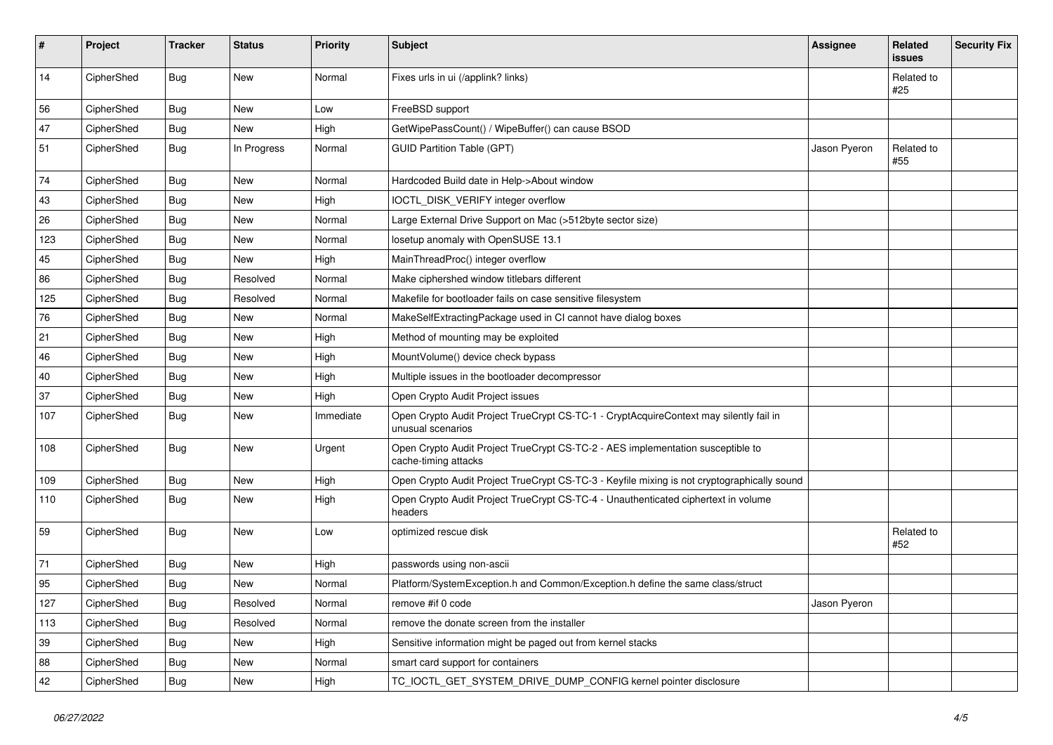| #   | Project    | <b>Tracker</b> | <b>Status</b> | <b>Priority</b> | Subject                                                                                                     | Assignee     | Related<br>issues | <b>Security Fix</b> |
|-----|------------|----------------|---------------|-----------------|-------------------------------------------------------------------------------------------------------------|--------------|-------------------|---------------------|
| 14  | CipherShed | Bug            | New           | Normal          | Fixes urls in ui (/applink? links)                                                                          |              | Related to<br>#25 |                     |
| 56  | CipherShed | <b>Bug</b>     | New           | Low             | FreeBSD support                                                                                             |              |                   |                     |
| 47  | CipherShed | <b>Bug</b>     | New           | High            | GetWipePassCount() / WipeBuffer() can cause BSOD                                                            |              |                   |                     |
| 51  | CipherShed | <b>Bug</b>     | In Progress   | Normal          | <b>GUID Partition Table (GPT)</b>                                                                           | Jason Pyeron | Related to<br>#55 |                     |
| 74  | CipherShed | <b>Bug</b>     | <b>New</b>    | Normal          | Hardcoded Build date in Help->About window                                                                  |              |                   |                     |
| 43  | CipherShed | <b>Bug</b>     | <b>New</b>    | High            | IOCTL_DISK_VERIFY integer overflow                                                                          |              |                   |                     |
| 26  | CipherShed | <b>Bug</b>     | New           | Normal          | Large External Drive Support on Mac (>512byte sector size)                                                  |              |                   |                     |
| 123 | CipherShed | <b>Bug</b>     | New           | Normal          | losetup anomaly with OpenSUSE 13.1                                                                          |              |                   |                     |
| 45  | CipherShed | Bug            | New           | High            | MainThreadProc() integer overflow                                                                           |              |                   |                     |
| 86  | CipherShed | <b>Bug</b>     | Resolved      | Normal          | Make ciphershed window titlebars different                                                                  |              |                   |                     |
| 125 | CipherShed | <b>Bug</b>     | Resolved      | Normal          | Makefile for bootloader fails on case sensitive filesystem                                                  |              |                   |                     |
| 76  | CipherShed | <b>Bug</b>     | New           | Normal          | MakeSelfExtractingPackage used in CI cannot have dialog boxes                                               |              |                   |                     |
| 21  | CipherShed | <b>Bug</b>     | New           | High            | Method of mounting may be exploited                                                                         |              |                   |                     |
| 46  | CipherShed | Bug            | New           | High            | MountVolume() device check bypass                                                                           |              |                   |                     |
| 40  | CipherShed | <b>Bug</b>     | New           | High            | Multiple issues in the bootloader decompressor                                                              |              |                   |                     |
| 37  | CipherShed | Bug            | New           | High            | Open Crypto Audit Project issues                                                                            |              |                   |                     |
| 107 | CipherShed | <b>Bug</b>     | New           | Immediate       | Open Crypto Audit Project TrueCrypt CS-TC-1 - CryptAcquireContext may silently fail in<br>unusual scenarios |              |                   |                     |
| 108 | CipherShed | <b>Bug</b>     | <b>New</b>    | Urgent          | Open Crypto Audit Project TrueCrypt CS-TC-2 - AES implementation susceptible to<br>cache-timing attacks     |              |                   |                     |
| 109 | CipherShed | Bug            | <b>New</b>    | High            | Open Crypto Audit Project TrueCrypt CS-TC-3 - Keyfile mixing is not cryptographically sound                 |              |                   |                     |
| 110 | CipherShed | Bug            | New           | High            | Open Crypto Audit Project TrueCrypt CS-TC-4 - Unauthenticated ciphertext in volume<br>headers               |              |                   |                     |
| 59  | CipherShed | <b>Bug</b>     | <b>New</b>    | Low             | optimized rescue disk                                                                                       |              | Related to<br>#52 |                     |
| 71  | CipherShed | Bug            | New           | High            | passwords using non-ascii                                                                                   |              |                   |                     |
| 95  | CipherShed | Bug            | New           | Normal          | Platform/SystemException.h and Common/Exception.h define the same class/struct                              |              |                   |                     |
| 127 | CipherShed | <b>Bug</b>     | Resolved      | Normal          | remove #if 0 code                                                                                           | Jason Pyeron |                   |                     |
| 113 | CipherShed | Bug            | Resolved      | Normal          | remove the donate screen from the installer                                                                 |              |                   |                     |
| 39  | CipherShed | <b>Bug</b>     | <b>New</b>    | High            | Sensitive information might be paged out from kernel stacks                                                 |              |                   |                     |
| 88  | CipherShed | <b>Bug</b>     | New           | Normal          | smart card support for containers                                                                           |              |                   |                     |
| 42  | CipherShed | <b>Bug</b>     | New           | High            | TC_IOCTL_GET_SYSTEM_DRIVE_DUMP_CONFIG kernel pointer disclosure                                             |              |                   |                     |